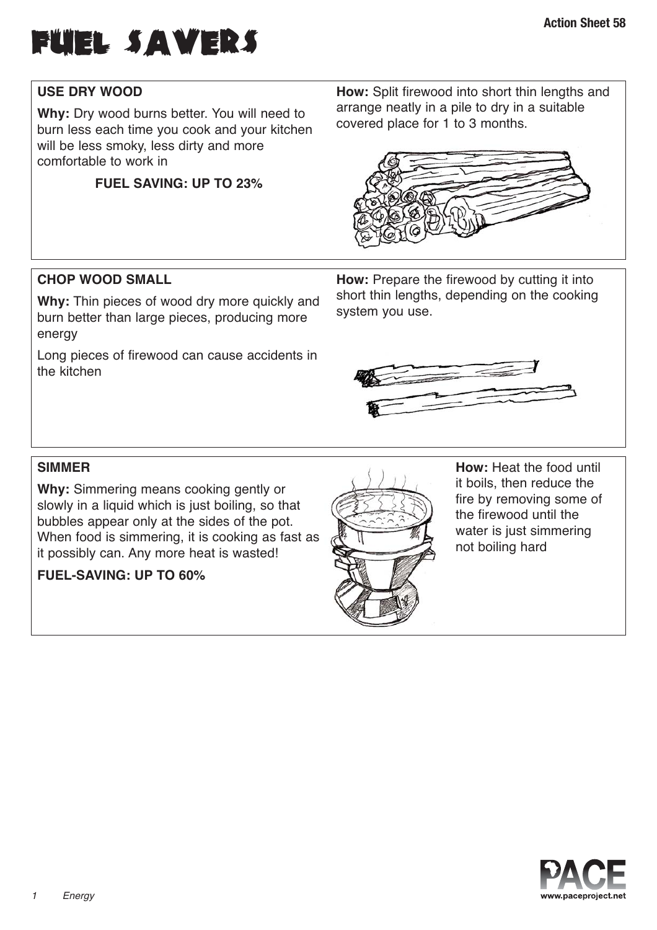

# **USE DRY WOOD**

**Why:** Dry wood burns better. You will need to burn less each time you cook and your kitchen will be less smoky, less dirty and more comfortable to work in

## **FUEL SAVING: UP TO 23%**

**How:** Split firewood into short thin lengths and arrange neatly in a pile to dry in a suitable covered place for 1 to 3 months.



### **CHOP WOOD SMALL**

**Why:** Thin pieces of wood dry more quickly and burn better than large pieces, producing more energy

Long pieces of firewood can cause accidents in the kitchen

**How:** Prepare the firewood by cutting it into short thin lengths, depending on the cooking system you use.



### **SIMMER**

**Why:** Simmering means cooking gently or slowly in a liquid which is just boiling, so that bubbles appear only at the sides of the pot. When food is simmering, it is cooking as fast as it possibly can. Any more heat is wasted!

#### **FUEL-SAVING: UP TO 60%**



**How:** Heat the food until it boils, then reduce the fire by removing some of the firewood until the water is just simmering not boiling hard